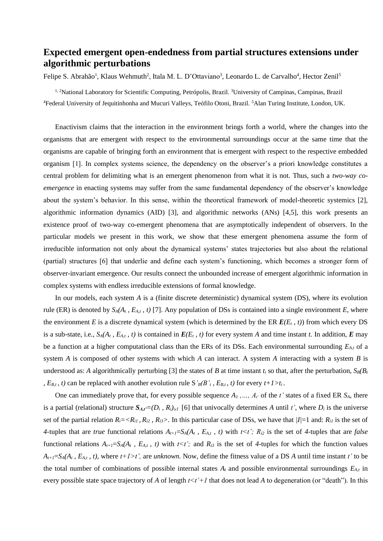## **Expected emergent open-endedness from partial structures extensions under algorithmic perturbations**

Felipe S. Abrahão<sup>1</sup>, Klaus Wehmuth<sup>2</sup>, Itala M. L. D'Ottaviano<sup>3</sup>, Leonardo L. de Carvalho<sup>4</sup>, Hector Zenil<sup>5</sup>

<sup>1, 2</sup>National Laboratory for Scientific Computing, Petrópolis, Brazil. <sup>3</sup>University of Campinas, Campinas, Brazil <sup>4</sup>Federal University of Jequitinhonha and Mucuri Valleys, Teófilo Otoni, Brazil. <sup>5</sup>Alan Turing Institute, London, UK.

Enactivism claims that the interaction in the environment brings forth a world, where the changes into the organisms that are emergent with respect to the environmental surroundings occur at the same time that the organisms are capable of bringing forth an environment that is emergent with respect to the respective embedded organism [1]. In complex systems science, the dependency on the observer's a priori knowledge constitutes a central problem for delimiting what is an emergent phenomenon from what it is not. Thus, such a *two-way coemergence* in enacting systems may suffer from the same fundamental dependency of the observer's knowledge about the system's behavior. In this sense, within the theoretical framework of model-theoretic systemics [2], algorithmic information dynamics (AID) [3], and algorithmic networks (ANs) [4,5], this work presents an existence proof of two-way co-emergent phenomena that are asymptotically independent of observers. In the particular models we present in this work, we show that these emergent phenomena assume the form of irreducible information not only about the dynamical systems' states trajectories but also about the relational (partial) structures [6] that underlie and define each system's functioning, which becomes a stronger form of observer-invariant emergence. Our results connect the unbounded increase of emergent algorithmic information in complex systems with endless irreducible extensions of formal knowledge.

In our models, each system *A* is a (finite discrete deterministic) dynamical system (DS), where its evolution rule (ER) is denoted by  $S_A(A_t, E_{A_t}, t)$  [7]. Any population of DSs is contained into a single environment *E*, where the environment *E* is a discrete dynamical system (which is determined by the ER  $E(E_t, t)$ ) from which every DS is a sub-state, i.e.,  $S_A(A_t, E_{A_t}, t)$  is contained in  $E(E_t, t)$  for every system *A* and time instant *t*. In addition, *E* may be a function at a higher computational class than the ERs of its DSs. Each environmental surrounding *EA,t* of a system *A* is composed of other systems with which *A* can interact. A system *A* interacting with a system *B* is understood as: *A* algorithmically perturbing [3] the states of *B* at time instant  $t_i$  so that, after the perturbation,  $S_B(B_t)$ *, E<sub>B,t</sub>, t*) can be replaced with another evolution rule S'<sub>*B*</sub>(*B*'<sub>*t*</sub>, *E<sub>B,t</sub>*, *t*) for every  $t+1>t$ <sub>*i*</sub>.

One can immediately prove that, for every possible sequence  $A_1$ , ...,  $A_t$  of the *t*' states of a fixed ER  $S_A$ , there is a partial (relational) structure  $S_{A,t} = (D_i, R_i)_{i \in I}$  [6] that univocally determines *A* until *t'*, where  $D_i$  is the universe set of the partial relation  $R_i = \langle R_i, R_i \rangle$ ,  $R_i \rangle$ . In this particular case of DSs, we have that  $|I|=1$  and:  $R_i$  is the set of *4-tuples that are <i>true* functional relations  $A_{t+1} = S_A(A_t, E_{A,t}, t)$  with  $t \le t$ ;  $R_{i2}$  is the set of 4-tuples that are *false* functional relations  $A_{t+1} = S_A(A_t, E_{A,t}, t)$  with  $t \le t'$ ; and  $R_i$  is the set of 4-tuples for which the function values  $A_{t+1}=S_A(A_t, E_{A,t}, t)$ , where  $t+1>t'$ , are *unknown*. Now, define the fitness value of a DS *A* until time instant *t'* to be the total number of combinations of possible internal states  $A_t$  and possible environmental surroundings  $E_{A_t}$  in every possible state space trajectory of A of length  $t < t' + 1$  that does not lead A to degeneration (or "death"). In this